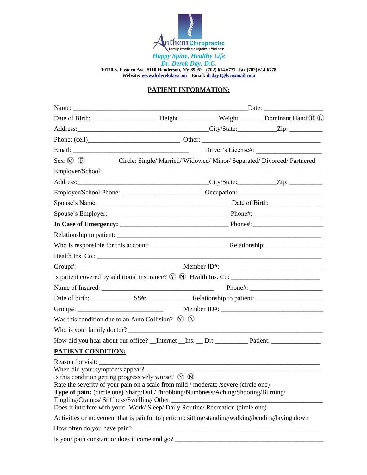

## **PATIENT INFORMATION:**

|                                                                                                                                                                                                                                                                                                                                                                              |  | Driver's License#:                                                      |
|------------------------------------------------------------------------------------------------------------------------------------------------------------------------------------------------------------------------------------------------------------------------------------------------------------------------------------------------------------------------------|--|-------------------------------------------------------------------------|
| $Sex: \mathbb{M} \times \mathbb{R}$                                                                                                                                                                                                                                                                                                                                          |  | Circle: Single/ Married/ Widowed/ Minor/ Separated/ Divorced/ Partnered |
|                                                                                                                                                                                                                                                                                                                                                                              |  |                                                                         |
|                                                                                                                                                                                                                                                                                                                                                                              |  |                                                                         |
|                                                                                                                                                                                                                                                                                                                                                                              |  |                                                                         |
|                                                                                                                                                                                                                                                                                                                                                                              |  |                                                                         |
|                                                                                                                                                                                                                                                                                                                                                                              |  |                                                                         |
|                                                                                                                                                                                                                                                                                                                                                                              |  |                                                                         |
|                                                                                                                                                                                                                                                                                                                                                                              |  |                                                                         |
|                                                                                                                                                                                                                                                                                                                                                                              |  |                                                                         |
|                                                                                                                                                                                                                                                                                                                                                                              |  |                                                                         |
|                                                                                                                                                                                                                                                                                                                                                                              |  |                                                                         |
|                                                                                                                                                                                                                                                                                                                                                                              |  |                                                                         |
|                                                                                                                                                                                                                                                                                                                                                                              |  |                                                                         |
|                                                                                                                                                                                                                                                                                                                                                                              |  |                                                                         |
|                                                                                                                                                                                                                                                                                                                                                                              |  |                                                                         |
| Was this condition due to an Auto Collision? $\Diamond$ $\Diamond$                                                                                                                                                                                                                                                                                                           |  |                                                                         |
|                                                                                                                                                                                                                                                                                                                                                                              |  |                                                                         |
|                                                                                                                                                                                                                                                                                                                                                                              |  |                                                                         |
| <b>PATIENT CONDITION:</b>                                                                                                                                                                                                                                                                                                                                                    |  |                                                                         |
| When did your symptoms appear?<br>Is this condition getting progressively worse? $\circled{Y}$ $\circled{N}$<br>Rate the severity of your pain on a scale from mild / moderate /severe (circle one)<br>Type of pain: (circle one) Sharp/Dull/Throbbing/Numbness/Aching/Shooting/Burning/<br>Does it interfere with your: Work/ Sleep/ Daily Routine/ Recreation (circle one) |  |                                                                         |
| Activities or movement that is painful to perform: sitting/standing/walking/bending/laying down                                                                                                                                                                                                                                                                              |  |                                                                         |
|                                                                                                                                                                                                                                                                                                                                                                              |  |                                                                         |
| Is your pain constant or does it come and go?                                                                                                                                                                                                                                                                                                                                |  | <u> 1980 - Jan Samuel Barbara, martin d</u>                             |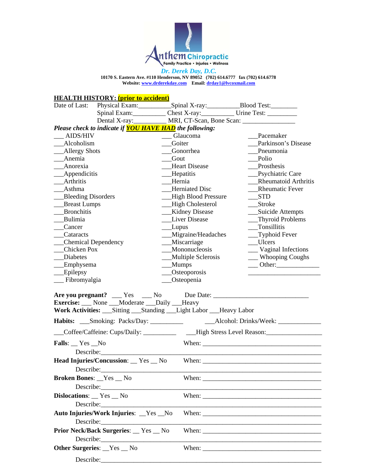

### **HEALTH HISTORY: (prior to accident)**

| Date of Last:             | Physical Exam:             | Spinal X-ray:                                                  | Blood Test:                 |
|---------------------------|----------------------------|----------------------------------------------------------------|-----------------------------|
|                           | Spinal Exam:               |                                                                |                             |
|                           | Dental X-ray:              |                                                                |                             |
|                           |                            | Please check to indicate if <b>YOU HAVE HAD</b> the following: |                             |
| <b>AIDS/HIV</b>           |                            | Glaucoma                                                       | Pacemaker                   |
| Alcoholism                |                            | Goiter                                                         | Parkinson's Disease         |
| Allergy Shots             |                            | Gonorrhea                                                      | Pneumonia                   |
| Anemia                    |                            | Gout                                                           | Polio                       |
| Anorexia                  |                            | <b>Heart Disease</b>                                           | Prosthesis                  |
| Appendicitis              |                            | Hepatitis                                                      | Psychiatric Care            |
| Arthritis                 |                            | Hernia                                                         | <b>Rheumatoid Arthritis</b> |
| Asthma                    |                            | <b>Herniated Disc</b>                                          | <b>Rheumatic Fever</b>      |
| <b>Bleeding Disorders</b> |                            | <b>High Blood Pressure</b>                                     | <b>STD</b>                  |
| <b>Breast Lumps</b>       |                            | High Cholesterol                                               | <b>Stroke</b>               |
| <b>Bronchitis</b>         |                            | Kidney Disease                                                 | Suicide Attempts            |
| Bulimia                   |                            | <b>Liver Disease</b>                                           | <b>Thyroid Problems</b>     |
| Cancer                    |                            | Lupus                                                          | Tonsillitis                 |
| Cataracts                 |                            | Migraine/Headaches                                             | Typhoid Fever               |
|                           | <b>Chemical Dependency</b> | Miscarriage                                                    | Ulcers                      |
| Chicken Pox               |                            | Mononucleosis                                                  | Vaginal Infections          |
| Diabetes                  |                            | <b>Multiple Sclerosis</b>                                      | <b>Whooping Coughs</b>      |
| Emphysema                 |                            | Mumps                                                          | Other:                      |
| Epilepsy                  |                            | Osteoporosis                                                   |                             |
| Fibromyalgia              |                            | Osteopenia                                                     |                             |

|                                                                           | <b>Are you pregnant?</b> ____ Yes ____ No Due Date: ___________________________________              |
|---------------------------------------------------------------------------|------------------------------------------------------------------------------------------------------|
| <b>Exercise:</b> None Moderate Daily Heavy                                |                                                                                                      |
| Work Activities: ___ Sitting ___ Standing ___ Light Labor ___ Heavy Labor |                                                                                                      |
|                                                                           |                                                                                                      |
|                                                                           | ___Coffee/Caffeine: Cups/Daily: ______________ High Stress Level Reason: ___________________________ |
| Falls: $Yes$ No                                                           |                                                                                                      |
|                                                                           |                                                                                                      |
|                                                                           | Head Injuries/Concussion: Yes No When: No When: No When 2012                                         |
|                                                                           |                                                                                                      |
| <b>Broken Bones:</b> Fes _ No                                             |                                                                                                      |
|                                                                           |                                                                                                      |
| Dislocations: _ Yes _ No                                                  |                                                                                                      |
|                                                                           |                                                                                                      |
| Auto Injuries/Work Injuries: _Yes _No                                     |                                                                                                      |
|                                                                           |                                                                                                      |
| <b>Prior Neck/Back Surgeries: __ Yes __ No</b>                            |                                                                                                      |
|                                                                           |                                                                                                      |
| <b>Other Surgeries:</b> Yes No                                            |                                                                                                      |
|                                                                           |                                                                                                      |
|                                                                           |                                                                                                      |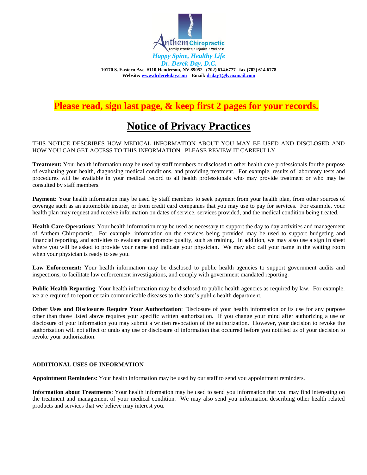

## **Please read, sign last page, & keep first 2 pages for your records.**

## **Notice of Privacy Practices**

#### THIS NOTICE DESCRIBES HOW MEDICAL INFORMATION ABOUT YOU MAY BE USED AND DISCLOSED AND HOW YOU CAN GET ACCESS TO THIS INFORMATION. PLEASE REVIEW IT CAREFULLY.

**Treatment:** Your health information may be used by staff members or disclosed to other health care professionals for the purpose of evaluating your health, diagnosing medical conditions, and providing treatment. For example, results of laboratory tests and procedures will be available in your medical record to all health professionals who may provide treatment or who may be consulted by staff members.

**Payment:** Your health information may be used by staff members to seek payment from your health plan, from other sources of coverage such as an automobile insurer, or from credit card companies that you may use to pay for services. For example, your health plan may request and receive information on dates of service, services provided, and the medical condition being treated.

**Health Care Operations**: Your health information may be used as necessary to support the day to day activities and management of Anthem Chiropractic. For example, information on the services being provided may be used to support budgeting and financial reporting, and activities to evaluate and promote quality, such as training. In addition, we may also use a sign in sheet where you will be asked to provide your name and indicate your physician. We may also call your name in the waiting room when your physician is ready to see you.

Law Enforcement: Your health information may be disclosed to public health agencies to support government audits and inspections, to facilitate law enforcement investigations, and comply with government mandated reporting.

**Public Health Reporting**: Your health information may be disclosed to public health agencies as required by law. For example, we are required to report certain communicable diseases to the state's public health department.

**Other Uses and Disclosures Require Your Authorization**: Disclosure of your health information or its use for any purpose other than those listed above requires your specific written authorization. If you change your mind after authorizing a use or disclosure of your information you may submit a written revocation of the authorization. However, your decision to revoke the authorization will not affect or undo any use or disclosure of information that occurred before you notified us of your decision to revoke your authorization.

#### **ADDITIONAL USES OF INFORMATION**

**Appointment Reminders**: Your health information may be used by our staff to send you appointment reminders.

**Information about Treatments**: Your health information may be used to send you information that you may find interesting on the treatment and management of your medical condition. We may also send you information describing other health related products and services that we believe may interest you.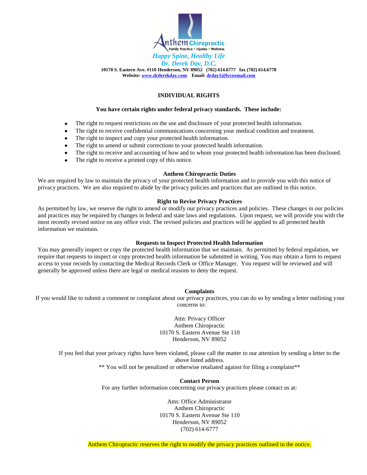

#### **INDIVIDUAL RIGHTS**

#### **You have certain rights under federal privacy standards. These include:**

- $\bullet$ The right to request restrictions on the use and disclosure of your protected health information.
- The right to receive confidential communications concerning your medical condition and treatment.  $\bullet$
- The right to inspect and copy your protected health information.  $\bullet$
- The right to amend or submit corrections to your protected health information.
- $\bullet$ The right to receive and accounting of how and to whom your protected health information has been disclosed.
- The right to receive a printed copy of this notice.

#### **Anthem Chiropractic Duties**

We are required by law to maintain the privacy of your protected health information and to provide you with this notice of privacy practices. We are also required to abide by the privacy policies and practices that are outlined in this notice.

#### **Right to Revise Privacy Practices**

As permitted by law, we reserve the right to amend or modify our privacy practices and policies. These changes in our policies and practices may be required by changes in federal and state laws and regulations. Upon request, we will provide you with the most recently revised notice on any office visit. The revised policies and practices will be applied to all protected health information we maintain.

#### **Requests to Inspect Protected Health Information**

You may generally inspect or copy the protected health information that we maintain. As permitted by federal regulation, we require that requests to inspect or copy protected health information be submitted in writing. You may obtain a form to request access to your records by contacting the Medical Records Clerk or Office Manager. You request will be reviewed and will generally be approved unless there are legal or medical reasons to deny the request.

#### **Complaints**

If you would like to submit a comment or complaint about our privacy practices, you can do so by sending a letter outlining your concerns to:

> Attn: Privacy Officer Anthem Chiropractic 10170 S. Eastern Avenue Ste 110 Henderson, NV 89052

If you feel that your privacy rights have been violated, please call the matter to our attention by sending a letter to the above listed address. \*\* You will not be penalized or otherwise retaliated against for filing a complaint\*\*

> **Contact Person**  For any further information concerning our privacy practices please contact us at:

> > Attn: Office Administrator Anthem Chiropractic 10170 S. Eastern Avenue Ste 110 Henderson, NV 89052 (702) 614-6777

Anthem Chiropractic reserves the right to modify the privacy practices outlined in the notice.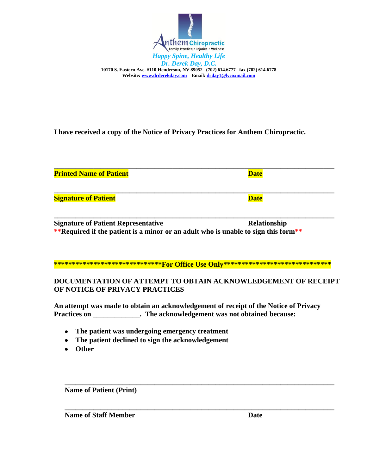

**I have received a copy of the Notice of Privacy Practices for Anthem Chiropractic.** 

| <b>Printed Name of Patient</b> | <b>Date</b> |
|--------------------------------|-------------|
| <b>Signature of Patient</b>    | <b>Date</b> |

**\_\_\_\_\_\_\_\_\_\_\_\_\_\_\_\_\_\_\_\_\_\_\_\_\_\_\_\_\_\_\_\_\_\_\_\_\_\_\_\_\_\_\_\_\_\_\_\_\_\_\_\_\_\_\_\_\_\_\_\_\_\_\_\_\_\_\_\_\_\_\_\_\_\_\_\_\_\_ Signature of Patient Representative** <br> **Relationship \*\*Required if the patient is a minor or an adult who is unable to sign this form\*\***

### **\*\*\*\*\*\*\*\*\*\*\*\*\*\*\*\*\*\*\*\*\*\*\*\*\*\*\*\*\*\*For Office Use Only\*\*\*\*\*\*\*\*\*\*\*\*\*\*\*\*\*\*\*\*\*\*\*\*\*\*\*\*\*\***

## **DOCUMENTATION OF ATTEMPT TO OBTAIN ACKNOWLEDGEMENT OF RECEIPT OF NOTICE OF PRIVACY PRACTICES**

**\_\_\_\_\_\_\_\_\_\_\_\_\_\_\_\_\_\_\_\_\_\_\_\_\_\_\_\_\_\_\_\_\_\_\_\_\_\_\_\_\_\_\_\_\_\_\_\_\_\_\_\_\_\_\_\_\_\_\_\_\_\_\_\_\_\_\_\_\_\_\_\_\_\_\_** 

**\_\_\_\_\_\_\_\_\_\_\_\_\_\_\_\_\_\_\_\_\_\_\_\_\_\_\_\_\_\_\_\_\_\_\_\_\_\_\_\_\_\_\_\_\_\_\_\_\_\_\_\_\_\_\_\_\_\_\_\_\_\_\_\_\_\_\_\_\_\_\_\_\_\_\_** 

**An attempt was made to obtain an acknowledgement of receipt of the Notice of Privacy Practices on . The acknowledgement was not obtained because:** 

- **The patient was undergoing emergency treatment**
- **The patient declined to sign the acknowledgement**
- **Other**

**Name of Patient (Print)** 

**Name of Staff Member Date Date**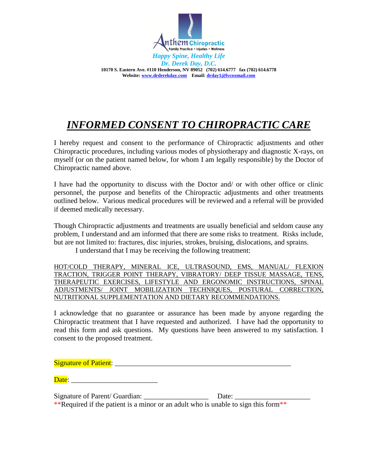

# *INFORMED CONSENT TO CHIROPRACTIC CARE*

I hereby request and consent to the performance of Chiropractic adjustments and other Chiropractic procedures, including various modes of physiotherapy and diagnostic X-rays, on myself (or on the patient named below, for whom I am legally responsible) by the Doctor of Chiropractic named above.

I have had the opportunity to discuss with the Doctor and/ or with other office or clinic personnel, the purpose and benefits of the Chiropractic adjustments and other treatments outlined below. Various medical procedures will be reviewed and a referral will be provided if deemed medically necessary.

Though Chiropractic adjustments and treatments are usually beneficial and seldom cause any problem, I understand and am informed that there are some risks to treatment. Risks include, but are not limited to: fractures, disc injuries, strokes, bruising, dislocations, and sprains.

I understand that I may be receiving the following treatment:

HOT/COLD THERAPY, MINERAL ICE, ULTRASOUND, EMS, MANUAL/ FLEXION TRACTION, TRIGGER POINT THERAPY, VIBRATORY/ DEEP TISSUE MASSAGE, TENS, THERAPEUTIC EXERCISES, LIFESTYLE AND ERGONOMIC INSTRUCTIONS, SPINAL ADJUSTMENTS/ JOINT MOBILIZATION TECHNIQUES, POSTURAL CORRECTION, NUTRITIONAL SUPPLEMENTATION AND DIETARY RECOMMENDATIONS.

I acknowledge that no guarantee or assurance has been made by anyone regarding the Chiropractic treatment that I have requested and authorized. I have had the opportunity to read this form and ask questions. My questions have been answered to my satisfaction. I consent to the proposed treatment.

Signature of Patient:

Date:

Signature of Parent/ Guardian:  $\Box$  Date:

\*\*Required if the patient is a minor or an adult who is unable to sign this form\*\*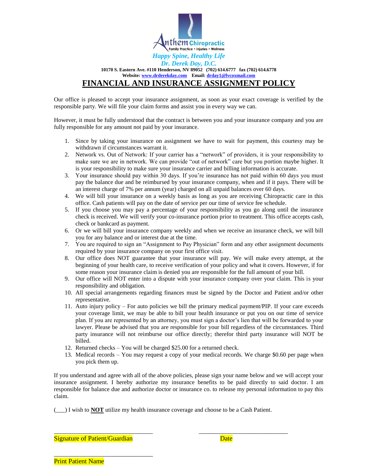

#### *Dr. Derek Day, D.C.*  **10170 S. Eastern Ave. #110 Henderson, NV 89052 (702) 614.6777 fax (702) 614.6778 Website[: www.drderekday.com](http://www.drderekday.com/) Email: [drday1@lvcoxmail.com](mailto:drday1@lvcoxmail.com) FINANCIAL AND INSURANCE ASSIGNMENT POLICY**

Our office is pleased to accept your insurance assignment, as soon as your exact coverage is verified by the responsible party. We will file your claim forms and assist you in every way we can.

However, it must be fully understood that the contract is between you and your insurance company and you are fully responsible for any amount not paid by your insurance.

- 1. Since by taking your insurance on assignment we have to wait for payment, this courtesy may be withdrawn if circumstances warrant it.
- 2. Network vs. Out of Network: If your carrier has a "network" of providers, it is your responsibility to make sure we are in network. We can provide "out of network" care but you portion maybe higher. It is your responsibility to make sure your insurance carrier and billing information is accurate.
- 3. Your insurance should pay within 30 days. If you're insurance has not paid within 60 days you must pay the balance due and be reimbursed by your insurance company, when and if it pays. There will be an interest charge of 7% per annum (year) charged on all unpaid balances over 60 days.
- 4. We will bill your insurance on a weekly basis as long as you are receiving Chiropractic care in this office. Cash patients will pay on the date of service per our time of service fee schedule.
- 5. If you choose you may pay a percentage of your responsibility as you go along until the insurance check is received. We will verify your co-insurance portion prior to treatment. This office accepts cash, check or bankcard as payment.
- 6. Or we will bill your insurance company weekly and when we receive an insurance check, we will bill you for any balance and or interest due at the time.
- 7. You are required to sign an "Assignment to Pay Physician" form and any other assignment documents required by your insurance company on your first office visit.
- 8. Our office does NOT guarantee that your insurance will pay. We will make every attempt, at the beginning of your health care, to receive verification of your policy and what it covers. However, if for some reason your insurance claim is denied you are responsible for the full amount of your bill.
- 9. Our office will NOT enter into a dispute with your insurance company over your claim. This is your responsibility and obligation.
- 10. All special arrangements regarding finances must be signed by the Doctor and Patient and/or other representative.
- 11. Auto injury policy For auto policies we bill the primary medical payment/PIP. If your care exceeds your coverage limit, we may be able to bill your health insurance or put you on our time of service plan. If you are represented by an attorney, you must sign a doctor's lien that will be forwarded to your lawyer. Please be advised that you are responsible for your bill regardless of the circumstances. Third party insurance will not reimburse our office directly; therefor third party insurance will NOT be billed.
- 12. Returned checks You will be charged \$25.00 for a returned check.
- 13. Medical records You may request a copy of your medical records. We charge \$0.60 per page when you pick them up.

If you understand and agree with all of the above policies, please sign your name below and we will accept your insurance assignment. I hereby authorize my insurance benefits to be paid directly to said doctor. I am responsible for balance due and authorize doctor or insurance co. to release my personal information to pay this claim.

(\_\_\_) I wish to **NOT** utilize my health insurance coverage and choose to be a Cash Patient.

\_\_\_\_\_\_\_\_\_\_\_\_\_\_\_\_\_\_\_\_\_\_\_\_\_\_\_\_\_\_ \_\_\_\_\_\_\_\_\_\_\_\_\_\_\_\_\_\_\_\_\_\_\_\_\_\_\_

Signature of Patient/Guardian Date by Date Date

\_\_\_\_\_\_\_\_\_\_\_\_\_\_\_\_\_\_\_\_\_\_\_\_\_\_\_\_\_\_

**Print Patient Name**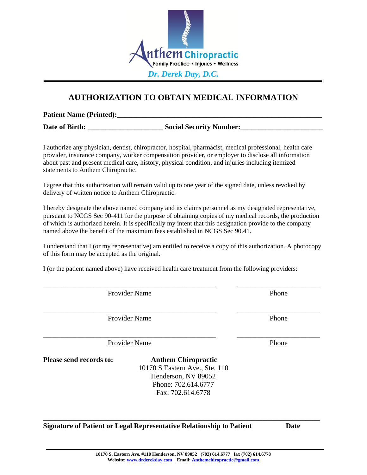

## **AUTHORIZATION TO OBTAIN MEDICAL INFORMATION**

**Patient Name (Printed):\_\_\_\_\_\_\_\_\_\_\_\_\_\_\_\_\_\_\_\_\_\_\_\_\_\_\_\_\_\_\_\_\_\_\_\_\_\_\_\_\_\_\_\_\_\_\_\_\_\_\_\_\_\_\_\_\_**

**Date of Birth: \_\_\_\_\_\_\_\_\_\_\_\_\_\_\_\_\_\_\_\_\_ Social Security Number:\_\_\_\_\_\_\_\_\_\_\_\_\_\_\_\_\_\_\_\_\_\_\_** 

I authorize any physician, dentist, chiropractor, hospital, pharmacist, medical professional, health care provider, insurance company, worker compensation provider, or employer to disclose all information about past and present medical care, history, physical condition, and injuries including itemized statements to Anthem Chiropractic.

I agree that this authorization will remain valid up to one year of the signed date, unless revoked by delivery of written notice to Anthem Chiropractic.

I hereby designate the above named company and its claims personnel as my designated representative, pursuant to NCGS Sec 90‐411 for the purpose of obtaining copies of my medical records, the production of which is authorized herein. It is specifically my intent that this designation provide to the company named above the benefit of the maximum fees established in NCGS Sec 90.41.

I understand that I (or my representative) am entitled to receive a copy of this authorization. A photocopy of this form may be accepted as the original.

\_\_\_\_\_\_\_\_\_\_\_\_\_\_\_\_\_\_\_\_\_\_\_\_\_\_\_\_\_\_\_\_\_\_\_\_\_\_\_\_\_\_\_\_\_\_\_\_ \_\_\_\_\_\_\_\_\_\_\_\_\_\_\_\_\_\_\_\_\_\_\_

I (or the patient named above) have received health care treatment from the following providers:

Provider Name Phone

Provider Name Phone

Provider Name Phone

**Please send records to: Anthem Chiropractic** 

10170 S Eastern Ave., Ste. 110 Henderson, NV 89052 Phone: 702.614.6777 Fax: 702.614.6778

**\_\_\_\_\_\_\_\_\_\_\_\_\_\_\_\_\_\_\_\_\_\_\_\_\_\_\_\_\_\_\_\_\_\_\_\_\_\_\_\_\_\_\_\_\_\_\_\_\_\_\_\_\_\_\_\_\_\_\_\_\_\_\_\_\_\_\_\_\_\_\_\_\_\_\_\_\_**

**Signature of Patient or Legal Representative Relationship to Patient Date**

\_\_\_\_\_\_\_\_\_\_\_\_\_\_\_\_\_\_\_\_\_\_\_\_\_\_\_\_\_\_\_\_\_\_\_\_\_\_\_\_\_\_\_\_\_\_\_\_ \_\_\_\_\_\_\_\_\_\_\_\_\_\_\_\_\_\_\_\_\_\_\_

\_\_\_\_\_\_\_\_\_\_\_\_\_\_\_\_\_\_\_\_\_\_\_\_\_\_\_\_\_\_\_\_\_\_\_\_\_\_\_\_\_\_\_\_\_\_\_\_ \_\_\_\_\_\_\_\_\_\_\_\_\_\_\_\_\_\_\_\_\_\_\_